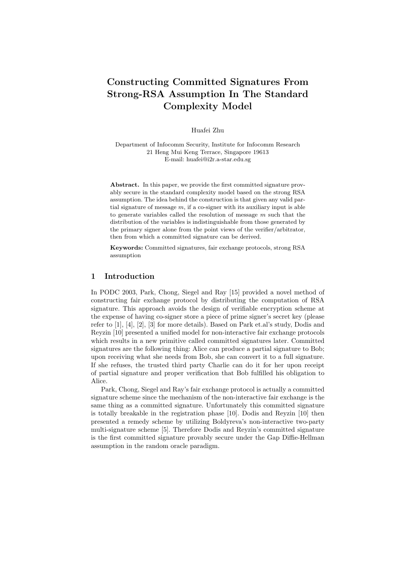# Constructing Committed Signatures From Strong-RSA Assumption In The Standard Complexity Model

Huafei Zhu

Department of Infocomm Security, Institute for Infocomm Research 21 Heng Mui Keng Terrace, Singapore 19613 E-mail: huafei@i2r.a-star.edu.sg

Abstract. In this paper, we provide the first committed signature provably secure in the standard complexity model based on the strong RSA assumption. The idea behind the construction is that given any valid partial signature of message  $m$ , if a co-signer with its auxiliary input is able to generate variables called the resolution of message  $m$  such that the distribution of the variables is indistinguishable from those generated by the primary signer alone from the point views of the verifier/arbitrator, then from which a committed signature can be derived.

Keywords: Committed signatures, fair exchange protocols, strong RSA assumption

## 1 Introduction

In PODC 2003, Park, Chong, Siegel and Ray [15] provided a novel method of constructing fair exchange protocol by distributing the computation of RSA signature. This approach avoids the design of verifiable encryption scheme at the expense of having co-signer store a piece of prime signer's secret key (please refer to [1], [4], [2], [3] for more details). Based on Park et.al's study, Dodis and Reyzin [10] presented a unified model for non-interactive fair exchange protocols which results in a new primitive called committed signatures later. Committed signatures are the following thing: Alice can produce a partial signature to Bob; upon receiving what she needs from Bob, she can convert it to a full signature. If she refuses, the trusted third party Charlie can do it for her upon receipt of partial signature and proper verification that Bob fulfilled his obligation to Alice.

Park, Chong, Siegel and Ray's fair exchange protocol is actually a committed signature scheme since the mechanism of the non-interactive fair exchange is the same thing as a committed signature. Unfortunately this committed signature is totally breakable in the registration phase [10]. Dodis and Reyzin [10] then presented a remedy scheme by utilizing Boldyreva's non-interactive two-party multi-signature scheme [5]. Therefore Dodis and Reyzin's committed signature is the first committed signature provably secure under the Gap Diffie-Hellman assumption in the random oracle paradigm.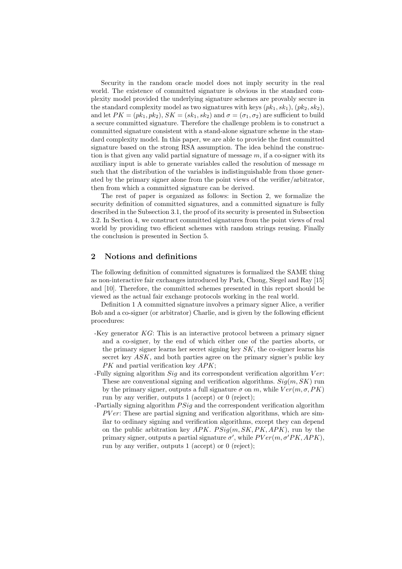Security in the random oracle model does not imply security in the real world. The existence of committed signature is obvious in the standard complexity model provided the underlying signature schemes are provably secure in the standard complexity model as two signatures with keys  $(pk_1, sk_1), (pk_2, sk_2),$ and let  $PK = (pk_1, pk_2), SK = (sk_1, sk_2)$  and  $\sigma = (\sigma_1, \sigma_2)$  are sufficient to build a secure committed signature. Therefore the challenge problem is to construct a committed signature consistent with a stand-alone signature scheme in the standard complexity model. In this paper, we are able to provide the first committed signature based on the strong RSA assumption. The idea behind the construction is that given any valid partial signature of message  $m$ , if a co-signer with its auxiliary input is able to generate variables called the resolution of message  $m$ such that the distribution of the variables is indistinguishable from those generated by the primary signer alone from the point views of the verifier/arbitrator, then from which a committed signature can be derived.

The rest of paper is organized as follows: in Section 2, we formalize the security definition of committed signatures, and a committed signature is fully described in the Subsection 3.1, the proof of its security is presented in Subsection 3.2. In Section 4, we construct committed signatures from the point views of real world by providing two efficient schemes with random strings reusing. Finally the conclusion is presented in Section 5.

## 2 Notions and definitions

The following definition of committed signatures is formalized the SAME thing as non-interactive fair exchanges introduced by Park, Chong, Siegel and Ray [15] and [10]. Therefore, the committed schemes presented in this report should be viewed as the actual fair exchange protocols working in the real world.

Definition 1 A committed signature involves a primary signer Alice, a verifier Bob and a co-signer (or arbitrator) Charlie, and is given by the following efficient procedures:

- -Key generator KG: This is an interactive protocol between a primary signer and a co-signer, by the end of which either one of the parties aborts, or the primary signer learns her secret signing key  $SK$ , the co-signer learns his secret key ASK, and both parties agree on the primary signer's public key  $PK$  and partial verification key  $APK$ ;
- -Fully signing algorithm  $Sig$  and its correspondent verification algorithm  $Ver$ : These are conventional signing and verification algorithms.  $Sig(m, SK)$  run by the primary signer, outputs a full signature  $\sigma$  on m, while  $Ver(m, \sigma, PK)$ run by any verifier, outputs 1 (accept) or 0 (reject);
- -Partially signing algorithm  $PSiq$  and the correspondent verification algorithm  $PVer$ : These are partial signing and verification algorithms, which are similar to ordinary signing and verification algorithms, except they can depend on the public arbitration key  $APK$ .  $P\text{Siq}(m, SK, PK, APK)$ , run by the primary signer, outputs a partial signature  $\sigma'$ , while  $PVer(m, \sigma'PK, APR)$ , run by any verifier, outputs 1 (accept) or 0 (reject);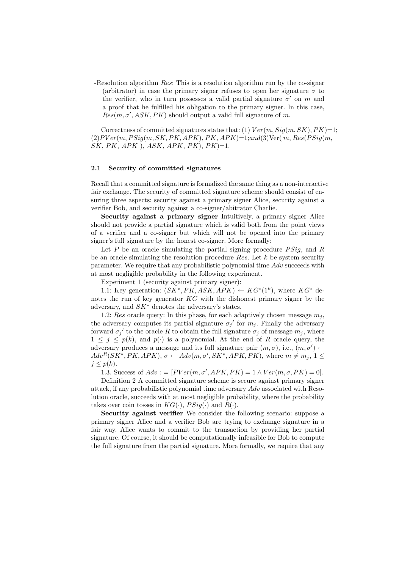-Resolution algorithm Res: This is a resolution algorithm run by the co-signer (arbitrator) in case the primary signer refuses to open her signature  $\sigma$  to the verifier, who in turn possesses a valid partial signature  $\sigma'$  on m and a proof that he fulfilled his obligation to the primary signer. In this case,  $Res(m, \sigma', ASK, PK)$  should output a valid full signature of m.

Correctness of committed signatures states that: (1)  $Ver(m, Sig(m, SK), PK) = 1$ ;  $(2)PVer(m, PSig(m, SK, PK, APK), PK, APK)=1; and (3)Ver(m, Res(PSig(m,$  $SK, PK, APK$ ,  $ASK, ASK, APK, PK$ ,  $PK$ )=1.

#### 2.1 Security of committed signatures

Recall that a committed signature is formalized the same thing as a non-interactive fair exchange. The security of committed signature scheme should consist of ensuring three aspects: security against a primary signer Alice, security against a verifier Bob, and security against a co-signer/abitrator Charlie.

Security against a primary signer Intuitively, a primary signer Alice should not provide a partial signature which is valid both from the point views of a verifier and a co-signer but which will not be opened into the primary signer's full signature by the honest co-signer. More formally:

Let  $P$  be an oracle simulating the partial signing procedure  $PSiq$ , and  $R$ be an oracle simulating the resolution procedure  $Res.$  Let  $k$  be system security parameter. We require that any probabilistic polynomial time Adv succeeds with at most negligible probability in the following experiment.

Experiment 1 (security against primary signer):

1.1: Key generation:  $(SK^*, PK, ASK, APK) \leftarrow KG^*(1^k)$ , where  $KG^*$  denotes the run of key generator KG with the dishonest primary signer by the adversary, and  $SK^*$  denotes the adversary's states.

1.2: Res oracle query: In this phase, for each adaptively chosen message  $m_i$ , the adversary computes its partial signature  $\sigma_j'$  for  $m_j$ . Finally the adversary forward  $\sigma_j'$  to the oracle R to obtain the full signature  $\sigma_j$  of message  $m_j$ , where  $1 \leq j \leq p(k)$ , and  $p(\cdot)$  is a polynomial. At the end of R oracle query, the adversary produces a message and its full signature pair  $(m, \sigma)$ , i.e.,  $(m, \sigma') \leftarrow$  $Adv^{R}(SK^*, PK, APR), \sigma \leftarrow Adv(m, \sigma', SK^*, APR, PK),$  where  $m \neq m_j, 1 \leq$  $j \leq p(k)$ .

1.3. Success of  $Adv := [PVer(m, \sigma', APK, PK) = 1 \land Ver(m, \sigma, PK) = 0].$ 

Definition 2 A committed signature scheme is secure against primary signer attack, if any probabilistic polynomial time adversary Adv associated with Resolution oracle, succeeds with at most negligible probability, where the probability takes over coin tosses in  $KG(\cdot)$ ,  $PSig(\cdot)$  and  $R(\cdot)$ .

Security against verifier We consider the following scenario: suppose a primary signer Alice and a verifier Bob are trying to exchange signature in a fair way. Alice wants to commit to the transaction by providing her partial signature. Of course, it should be computationally infeasible for Bob to compute the full signature from the partial signature. More formally, we require that any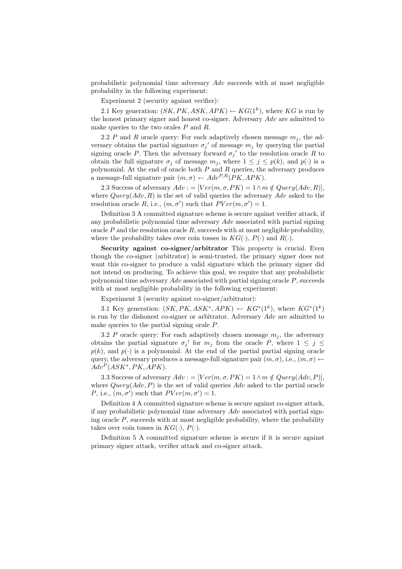probabilistic polynomial time adversary Adv succeeds with at most negligible probability in the following experiment:

Experiment 2 (security against verifier):

2.1 Key generation:  $(SK, PK, ASK, APK) \leftarrow KG(1^k)$ , where KG is run by the honest primary signer and honest co-signer. Adversary Adv are admitted to make queries to the two orales P and R.

2.2 P and R oracle query: For each adaptively chosen message  $m_i$ , the adversary obtains the partial signature  $\sigma_j'$  of message  $m_j$  by querying the partial signing oracle P. Then the adversary forward  $\sigma_j'$  to the resolution oracle R to obtain the full signature  $\sigma_j$  of message  $m_j$ , where  $1 \leq j \leq p(k)$ , and  $p(\cdot)$  is a polynomial. At the end of oracle both  $P$  and  $R$  queries, the adversary produces a message-full signature pair  $(m, \sigma) \leftarrow Adv^{P,R}(PK, APK)$ .

2.3 Success of adversary  $Adv := [Ver(m, \sigma, PK) = 1 \land m \notin Query(Adv, R)],$ where  $Query(Adv, R)$  is the set of valid queries the adversary  $Adv$  asked to the resolution oracle R, i.e.,  $(m, \sigma')$  such that  $PVer(m, \sigma') = 1$ .

Definition 3 A committed signature scheme is secure against verifier attack, if any probabilistic polynomial time adversary  $Adv$  associated with partial signing oracle  $P$  and the resolution oracle  $R$ , succeeds with at most negligible probability, where the probability takes over coin tosses in  $KG(\cdot)$ ,  $P(\cdot)$  and  $R(\cdot)$ .

Security against co-signer/arbitrator This property is crucial. Even though the co-signer (arbitrator) is semi-trusted, the primary signer does not want this co-signer to produce a valid signature which the primary signer did not intend on producing. To achieve this goal, we require that any probabilistic polynomial time adversary  $Adv$  associated with partial signing oracle  $P$ , succeeds with at most negligible probability in the following experiment:

Experiment 3 (security against co-signer/arbitrator):

3.1 Key generation:  $(SK, PK, ASK^*, APK) \leftarrow KG^*(1^k)$ , where  $KG^*(1^k)$ is run by the dishonest co-signer or arbitrator. Adversary Adv are admitted to make queries to the partial signing orale P.

3.2 P oracle query: For each adaptively chosen message  $m_j$ , the adversary obtains the partial signature  $\sigma_j'$  for  $m_j$  from the oracle P, where  $1 \leq j \leq$  $p(k)$ , and  $p(\cdot)$  is a polynomial. At the end of the partial partial signing oracle query, the adversary produces a message-full signature pair  $(m, \sigma)$ , i.e.,  $(m, \sigma) \leftarrow$  $Adv^{P}(ASK^*, PK, APK).$ 

3.3 Success of adversary  $Adv := [Ver(m, \sigma, PK) = 1 \land m \notin Query(Adv, P)],$ where  $Query(Adv, P)$  is the set of valid queries  $Adv$  asked to the partial oracle P, i.e.,  $(m, \sigma')$  such that  $PVer(m, \sigma') = 1$ .

Definition 4 A committed signature scheme is secure against co-signer attack, if any probabilistic polynomial time adversary  $Adv$  associated with partial signing oracle  $P$ , succeeds with at most negligible probability, where the probability takes over coin tosses in  $KG(\cdot), P(\cdot)$ .

Definition 5 A committed signature scheme is secure if it is secure against primary signer attack, verifier attack and co-signer attack.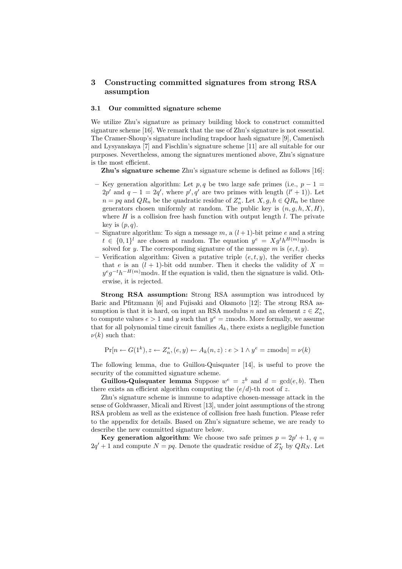# 3 Constructing committed signatures from strong RSA assumption

#### 3.1 Our committed signature scheme

We utilize Zhu's signature as primary building block to construct committed signature scheme [16]. We remark that the use of Zhu's signature is not essential. The Cramer-Shoup's signature including trapdoor hash signature [9], Camenisch and Lysyanskaya [7] and Fischlin's signature scheme [11] are all suitable for our purposes. Nevertheless, among the signatures mentioned above, Zhu's signature is the most efficient.

Zhu's signature scheme Zhu's signature scheme is defined as follows [16]:

- Key generation algorithm: Let  $p, q$  be two large safe primes (i.e.,  $p 1 =$  $2p'$  and  $q-1=2q'$ , where  $p', q'$  are two primes with length  $(l'+1)$ ). Let  $n = pq$  and  $QR_n$  be the quadratic residue of  $Z_n^*$ . Let  $X, g, h \in QR_n$  be three generators chosen uniformly at random. The public key is  $(n, g, h, X, H)$ , where  $H$  is a collision free hash function with output length  $l$ . The private key is  $(p, q)$ .
- Signature algorithm: To sign a message m, a  $(l+1)$ -bit prime e and a string  $t \in \{0,1\}^l$  are chosen at random. The equation  $y^e = X g^t h^{H(m)}$  modn is solved for y. The corresponding signature of the message m is  $(e, t, y)$ .
- Verification algorithm: Given a putative triple  $(e, t, y)$ , the verifier checks that e is an  $(l + 1)$ -bit odd number. Then it checks the validity of  $X =$  $y^e g^{-t} h^{-H(m)}$  modn. If the equation is valid, then the signature is valid. Otherwise, it is rejected.

Strong RSA assumption: Strong RSA assumption was introduced by Baric and Pfitzmann [6] and Fujisaki and Okamoto [12]: The strong RSA assumption is that it is hard, on input an RSA modulus n and an element  $z \in Z_n^*$ , to compute values  $e > 1$  and y such that  $y^e = z \text{ mod } n$ . More formally, we assume that for all polynomial time circuit families  $A_k$ , there exists a negligible function  $\nu(k)$  such that:

$$
\Pr[n \leftarrow G(1^k), z \leftarrow Z_n^*, (e, y) \leftarrow A_k(n, z) : e > 1 \land y^e = z \text{mod} n = \nu(k)
$$

The following lemma, due to Guillou-Quisquater [14], is useful to prove the security of the committed signature scheme.

**Guillou-Quisquater lemma** Suppose  $w^e = z^b$  and  $d = \gcd(e, b)$ . Then there exists an efficient algorithm computing the  $(e/d)$ -th root of z.

Zhu's signature scheme is immune to adaptive chosen-message attack in the sense of Goldwasser, Micali and Rivest [13], under joint assumptions of the strong RSA problem as well as the existence of collision free hash function. Please refer to the appendix for details. Based on Zhu's signature scheme, we are ready to describe the new committed signature below.

Key generation algorithm: We choose two safe primes  $p = 2p' + 1$ ,  $q =$  $2q' + 1$  and compute  $N = pq$ . Denote the quadratic residue of  $Z_N^*$  by  $QR_N$ . Let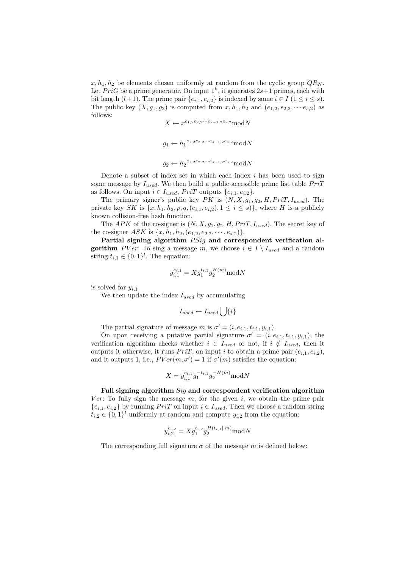$x, h_1, h_2$  be elements chosen uniformly at random from the cyclic group  $QR_N$ . Let  $PriG$  be a prime generator. On input  $1^k$ , it generates  $2s+1$  primes, each with bit length  $(l+1)$ . The prime pair  $\{e_{i,1}, e_{i,2}\}$  is indexed by some  $i \in I$   $(1 \leq i \leq s)$ . The public key  $(X, g_1, g_2)$  is computed from  $x, h_1, h_2$  and  $(e_{1,2}, e_{2,2}, \dots e_{s,2})$  as follows:

```
X \leftarrow x^{e_{1,2}e_{2,2}\cdots e_{s-1,2}e_{s,2}} \text{mod} N
```

```
g_1 \leftarrow h_1^{e_{1,2}e_{2,2}\cdots e_{s-1,2}e_{s,2}} \text{mod}Ng_2 \leftarrow h_2^{e_{1,2}e_{2,2}\cdots e_{s-1,2}e_{s,2}} \text{mod} N
```
Denote a subset of index set in which each index  $i$  has been used to sign some message by  $I_{used}$ . We then build a public accessible prime list table  $PriT$ as follows. On input  $i \in I_{used}, PriT$  outputs  $\{e_{i,1}, e_{i,2}\}.$ 

The primary signer's public key PK is  $(N, X, g_1, g_2, H, PriT, I_{used})$ . The private key SK is  $\{x, h_1, h_2, p, q, (e_{i,1}, e_{i,2}), 1 \leq i \leq s\}$ , where H is a publicly known collision-free hash function.

The APK of the co-signer is  $(N, X, g_1, g_2, H, PriT, I_{used})$ . The secret key of the co-signer ASK is  $\{x, h_1, h_2, (e_{1,2}, e_{2,2}, \dots, e_{s,2})\}.$ 

Partial signing algorithm  $PSig$  and correspondent verification algorithm PVer: To sing a message m, we choose  $i \in I \setminus I_{used}$  and a random string  $t_{i,1} \in \{0,1\}^l$ . The equation:

$$
y_{i,1}^{e_{i,1}} = X g_1^{t_{i,1}} g_2^{H(m)} \text{mod} N
$$

is solved for  $y_{i,1}$ .

We then update the index  $I_{used}$  by accumulating

$$
I_{used} \leftarrow I_{used} \bigcup \{i\}
$$

The partial signature of message m is  $\sigma' = (i, e_{i,1}, t_{i,1}, y_{i,1}).$ 

On upon receiving a putative partial signature  $\sigma' = (i, e_{i,1}, t_{i,1}, y_{i,1}),$  the verification algorithm checks whether  $i \in I_{used}$  or not, if  $i \notin I_{used}$ , then it outputs 0, otherwise, it runs  $PriT$ , on input i to obtain a prime pair  $(e_{i,1}, e_{i,2})$ , and it outputs 1, i.e.,  $PVer(m, \sigma') = 1$  if  $\sigma'(m)$  satisfies the equation:

$$
X = y_{i,1}^{e_{i,1}} g_1^{-t_{i,1}} g_2^{-H(m)} \text{mod} N
$$

Full signing algorithm Sig and correspondent verification algorithm Ver: To fully sign the message  $m$ , for the given i, we obtain the prime pair  ${e_{i,1}, e_{i,2}}$  by running  $PriT$  on input  $i \in I_{used}$ . Then we choose a random string  $t_{i,2} \in \{0,1\}^l$  uniformly at random and compute  $y_{i,2}$  from the equation:

$$
y_{i,2}^{e_{i,2}} = X g_1^{t_{i,2}} g_2^{H(t_{i,1} || m)} \text{mod} N
$$

The corresponding full signature  $\sigma$  of the message m is defined below: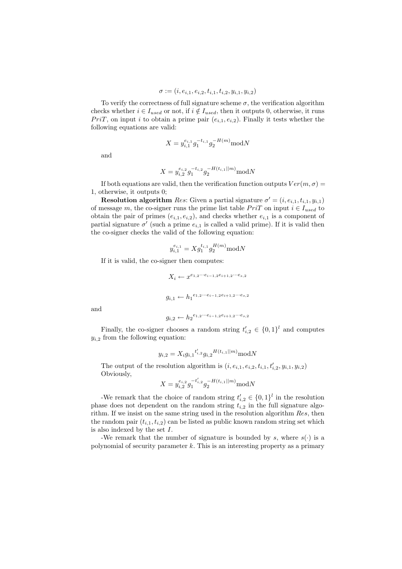$$
\sigma := (i, e_{i,1}, e_{i,2}, t_{i,1}, t_{i,2}, y_{i,1}, y_{i,2})
$$

To verify the correctness of full signature scheme  $\sigma$ , the verification algorithm checks whether  $i \in I_{used}$  or not, if  $i \notin I_{used}$ , then it outputs 0, otherwise, it runs  $PriT$ , on input i to obtain a prime pair  $(e_{i,1}, e_{i,2})$ . Finally it tests whether the following equations are valid:

$$
X = y_{i,1}^{e_{i,1}} g_1^{-t_{i,1}} g_2^{-H(m)} \text{mod} N
$$

and

$$
X = y_{i,2}^{e_{i,2}} g_1^{-t_{i,2}} g_2^{-H(t_{i,1}||m)} \text{mod} N
$$

If both equations are valid, then the verification function outputs  $Ver(m, \sigma) =$ 1, otherwise, it outputs 0;

**Resolution algorithm** Res: Given a partial signature  $\sigma' = (i, e_{i,1}, t_{i,1}, y_{i,1})$ of message m, the co-signer runs the prime list table  $PriT$  on input  $i \in I_{used}$  to obtain the pair of primes  $(e_{i,1}, e_{i,2})$ , and checks whether  $e_{i,1}$  is a component of partial signature  $\sigma'$  (such a prime  $e_{i,1}$  is called a valid prime). If it is valid then the co-signer checks the valid of the following equation:

$$
y_{i,1}^{e_{i,1}} = X g_1^{t_{i,1}} g_2^{H(m)} \text{mod} N
$$

If it is valid, the co-signer then computes:

$$
X_i \leftarrow x^{e_{1,2}\cdots e_{i-1,2}e_{i+1,2}\cdots e_{s,2}}
$$
  

$$
g_{i,1} \leftarrow h_1^{e_{1,2}\cdots e_{i-1,2}e_{i+1,2}\cdots e_{s,2}}
$$
  

$$
g_{i,2} \leftarrow h_2^{e_{1,2}\cdots e_{i-1,2}e_{i+1,2}\cdots e_{s,2}}
$$

and

Finally, the co-signer chooses a random string 
$$
t'_{i,2} \in \{0,1\}^l
$$
 and computes  $y_{i,2}$  from the following equation:

$$
y_{i,2}=X_ig_{i,1}{}^{t'_{i,2}}g_{i,2}{}^{H(t_{i,1}||m)}\mathrm{mod}N
$$

The output of the resolution algorithm is  $(i, e_{i,1}, e_{i,2}, t_{i,1}, t'_{i,2}, y_{i,1}, y_{i,2})$ Obviously,

$$
X = y_{i,2}^{e_{i,2}} g_1^{-t'_{i,2}} g_2^{-H(t_{i,1}||m)} \text{mod} N
$$

-We remark that the choice of random string  $t'_{i,2} \in \{0,1\}^l$  in the resolution phase does not dependent on the random string  $t_{i,2}$  in the full signature algorithm. If we insist on the same string used in the resolution algorithm Res, then the random pair  $(t_{i,1}, t_{i,2})$  can be listed as public known random string set which is also indexed by the set I.

-We remark that the number of signature is bounded by s, where  $s(\cdot)$  is a polynomial of security parameter  $k$ . This is an interesting property as a primary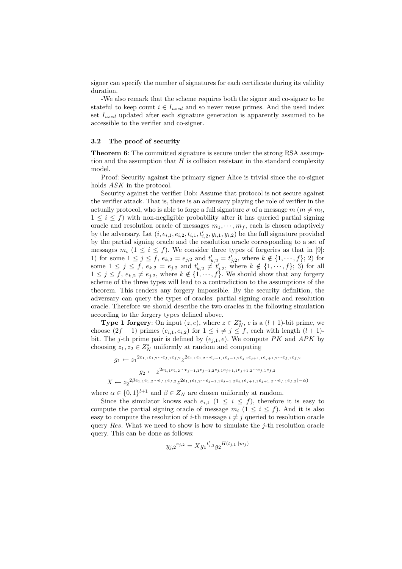signer can specify the number of signatures for each certificate during its validity duration.

-We also remark that the scheme requires both the signer and co-signer to be stateful to keep count  $i \in I_{used}$  and so never reuse primes. And the used index set  $I_{used}$  updated after each signature generation is apparently assumed to be accessible to the verifier and co-signer.

#### 3.2 The proof of security

**Theorem 6:** The committed signature is secure under the strong RSA assumption and the assumption that  $H$  is collision resistant in the standard complexity model.

Proof: Security against the primary signer Alice is trivial since the co-signer holds ASK in the protocol.

Security against the verifier Bob: Assume that protocol is not secure against the verifier attack. That is, there is an adversary playing the role of verifier in the actually protocol, who is able to forge a full signature  $\sigma$  of a message  $m$   $(m \neq m_i,$  $1 \leq i \leq f$ ) with non-negligible probability after it has queried partial signing oracle and resolution oracle of messages  $m_1, \dots, m_f$ , each is chosen adaptively by the adversary. Let  $(i, e_{i,1}, e_{i,2}, t_{i,1}, t'_{i,2}, y_{i,1}, y_{i,2})$  be the full signature provided by the partial signing oracle and the resolution oracle corresponding to a set of messages  $m_i$  ( $1 \le i \le f$ ). We consider three types of forgeries as that in [9]: 1) for some  $1 \leq j \leq f$ ,  $e_{k,2} = e_{j,2}$  and  $t'_{k,2} = t'_{j,2}$ , where  $k \notin \{1, \dots, f\}$ ; 2) for some  $1 \leq j \leq f$ ,  $e_{k,2} = e_{j,2}$  and  $t'_{k,2} \neq t'_{j,2}$ , where  $k \notin \{1, \dots, f\}$ ; 3) for all  $1 \leq j \leq f, e_{k,2} \neq e_{j,2}$ , where  $k \notin \{1, \dots, f\}$ . We should show that any forgery scheme of the three types will lead to a contradiction to the assumptions of the theorem. This renders any forgery impossible. By the security definition, the adversary can query the types of oracles: partial signing oracle and resolution oracle. Therefore we should describe the two oracles in the following simulation according to the forgery types defined above.

**Type 1 forgery:** On input  $(z, e)$ , where  $z \in Z_N^*$ , e is a  $(l + 1)$ -bit prime, we choose  $(2f - 1)$  primes  $(e_{i,1}, e_{i,2})$  for  $1 \leq i \neq j \leq f$ , each with length  $(l + 1)$ bit. The j-th prime pair is defined by  $(e_{i,1}, e)$ . We compute PK and APK by choosing  $z_1, z_2 \in Z_N^*$  uniformly at random and computing

$$
g_1 \leftarrow z_1^{2e_{1,1}e_{1,2}\cdots e_{f,1}e_{f,2}} z^{2e_{1,1}e_{1,2}\cdots e_{j-1,1}e_{j-1,2}e_{j,1}e_{j+1,1}e_{j+1,2}\cdots e_{f,1}e_{f,2}}
$$
  
\n
$$
g_2 \leftarrow z^{2e_{1,1}e_{1,2}\cdots e_{j-1,1}e_{j-1,2}e_{j,1}e_{j+1,1}e_{j+1,2}\cdots e_{f,1}e_{f,2}}
$$
  
\n
$$
X \leftarrow z_2^{2\beta e_{1,1}e_{1,2}\cdots e_{f,1}e_{f,2}} z^{2e_{1,1}e_{1,2}\cdots e_{j-1,1}e_{j-1,2}e_{j,1}e_{j+1,1}e_{j+1,2}\cdots e_{f,1}e_{f,2}(-\alpha)}
$$

where  $\alpha \in \{0,1\}^{l+1}$  and  $\beta \in Z_N$  are chosen uniformly at random.

Since the simulator knows each  $e_{i,1}$   $(1 \leq i \leq f)$ , therefore it is easy to compute the partial signing oracle of message  $m_i$  ( $1 \le i \le f$ ). And it is also easy to compute the resolution of *i*-th message  $i \neq j$  queried to resolution oracle query Res. What we need to show is how to simulate the j-th resolution oracle query. This can be done as follows:

$$
y_{j,2}^{e_{j,2}} = X g_1^{t'_{j,2}} g_2^{H(t_{j,1}||m_j)}
$$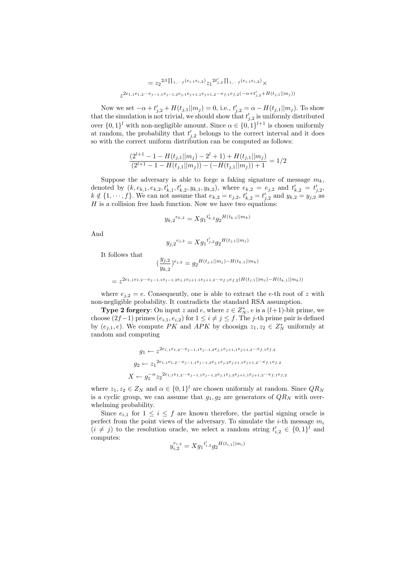$$
= z_2^{2\beta \prod_{1,\dots,f} (e_{i,1}e_{i,2})} z_1^{2t'_{j,2} \prod_{1,\dots,f} (e_{i,1}e_{i,2})} \times
$$
  

$$
z^{2e_{1,1}e_{1,2}\cdots e_{j-1,1}e_{j-1,2}e_{j,1}e_{j+1,1}e_{j+1,2}\cdots e_{f,1}e_{f,2}(-\alpha+t'_{j,2}+H(t_{j,1}||m_j))}
$$

Now we set  $-\alpha + t'_{j,2} + H(t_{j,1}||m_j) = 0$ , i.e.,  $t'_{j,2} = \alpha - H(t_{j,1}||m_j)$ . To show that the simulation is not trivial, we should show that  $t'_{j,2}$  is uniformly distributed over  $\{0,1\}^l$  with non-negligible amount. Since  $\alpha \in \{0,1\}^{l+1}$  is chosen uniformly at random, the probability that  $t'_{j,2}$  belongs to the correct interval and it does so with the correct uniform distribution can be computed as follows:

$$
\frac{(2^{l+1}-1-H(t_{j,1}||m_j)-2^l+1)+H(t_{j,1}||m_j)}{(2^{l+1}-1-H(t_{j,1}||m_j)) - (-H(t_{j,1}||m_j))+1} = 1/2
$$

Suppose the adversary is able to forge a faking signature of message  $m_k$ , denoted by  $(k, e_{k,1}, e_{k,2}, t'_{k,1}, t'_{k,2}, y_{k,1}, y_{k,2}),$  where  $e_{k,2} = e_{j,2}$  and  $t'_{k,2} = t'_{j,2},$  $k \notin \{1, \dots, f\}$ . We can not assume that  $e_{k,2} = e_{j,2}, t'_{k,2} = t'_{j,2}$  and  $y_{k,2} = y_{j,2}$  as  $H$  is a collision free hash function. Now we have two equations:

$$
y_{k,2}^{e_{k,2}} = X g_1^{t'_{k,2}} g_2^{H(t_{k,1}||m_k)}
$$

And

$$
y_{j,2}^{e_{j,2}} = X g_1^{t'_{j,2}} g_2^{H(t_{j,1}||m_j)}
$$

It follows that

$$
\left(\frac{y_{j,2}}{y_{k,2}}\right)^{e_{j,2}} = g_2^{H(t_{j,1}||m_j) - H(t_{k,1}||m_k)}
$$

$$
= z^{2e_{1,1}e_{1,2}\cdots e_{j-1,1}e_{j-1,2}e_{j,1}e_{j+1,1}e_{j+1,2}\cdots e_{f,1}e_{f,2}(H(t_{j,1}||m_j) - H(t_{k,1}||m_k))}
$$

where  $e_{i,2} = e$ . Consequently, one is able to extract the e-th root of z with non-negligible probability. It contradicts the standard RSA assumption.

**Type 2 forgery:** On input z and e, where  $z \in Z_N^*$ , e is a  $(l+1)$ -bit prime, we choose  $(2f-1)$  primes  $(e_{i,1}, e_{i,2})$  for  $1 \leq i \neq j \leq f$ . The j-th prime pair is defined by  $(e_{j,1}, e)$ . We compute PK and APK by choosign  $z_1, z_2 \in Z_N^*$  uniformly at random and computing

$$
g_1 \leftarrow z^{2e_{1,1}e_{1,2}\cdots e_{j-1,1}e_{j-1,2}e_{j,1}e_{j+1,1}e_{j+1,2}\cdots e_{f,1}e_{f,2}}
$$
  
\n
$$
g_2 \leftarrow z_1^{2e_{1,1}e_{1,2}\cdots e_{j-1,1}e_{j-1,2}e_{j,1}e_{j,2}e_{j+1,1}e_{j+1,2}\cdots e_{f,1}e_{f,2}}
$$
  
\n
$$
X \leftarrow g_1^{-\alpha} z_2^{2e_{1,1}e_{1,2}\cdots e_{j-1,1}e_{j-1,2}e_{j,1}e_{j,2}e_{j+1,1}e_{j+1,2}\cdots e_{f,1}e_{f,2}}
$$

where  $z_1, z_2 \in Z_N$  and  $\alpha \in \{0, 1\}^l$  are chosen uniformly at random. Since  $QR_N$ is a cyclic group, we can assume that  $g_1, g_2$  are generators of  $QR_N$  with overwhelming probability.

Since  $e_{i,1}$  for  $1 \leq i \leq f$  are known therefore, the partial signing oracle is perfect from the point views of the adversary. To simulate the *i*-th message  $m_i$  $(i \neq j)$  to the resolution oracle, we select a random string  $t'_{i,2} \in \{0,1\}^l$  and computes:

$$
y_{i,2}^{e_{i,2}} = X g_1^{t'_{i,2}} g_2^{H(t_{i,1}||m_i)}
$$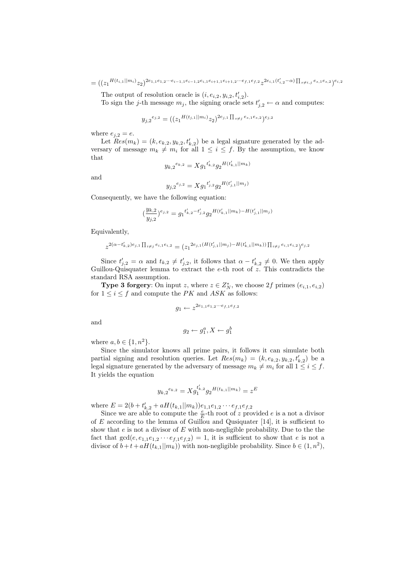$=\bigl(\bigl(z_1^{H(t_{i,1}||m_i)}z_2\bigr)^{2e_{1,1}e_{1,2}...e_{i-1,1}e_{i-1,2}e_{i,1}e_{i+1,1}e_{i+1,2}...e_{f,1}e_{f,2}\,z^{2e_{i,1}(t'_{i,2}-\alpha)\prod_{s\neq i,j}e_{s,1}e_{s,2}\bigr)e_{i,2}$ 

The output of resolution oracle is  $(i, e_{i,2}, y_{i,2}, t'_{i,2}).$ 

To sign the j-th message  $m_j$ , the signing oracle sets  $t'_{j,2} \leftarrow \alpha$  and computes:

$$
y_{j,2}^{e_{j,2}} = ((z_1^{H(t_{j,1}||m_i)}z_2)^{2e_{j,1}\prod_{s\neq j}e_{s,1}e_{s,2}})^{e_{j,2}}
$$

where  $e_{j,2} = e$ .

Let  $Res(m_k) = (k, e_{k,2}, y_{k,2}, t'_{k,2})$  be a legal signature generated by the adversary of message  $m_k \neq m_i$  for all  $1 \leq i \leq f$ . By the assumption, we know that

$$
y_{k,2}^{e_{k,2}} = Xg_1^{t'_{k,2}}g_2^{H(t'_{k,1}||m_k)}
$$

and

$$
y_{j,2}^{e_{j,2}} = X g_1^{t'_{j,2}} g_2^{H(t'_{j,1}||m_j)}
$$

Consequently, we have the following equation:

$$
\left(\frac{y_{k,2}}{y_{j,2}}\right)^{e_{j,2}}=g_1^{t'_{k,2}-t'_{j,2}}g_2^{H\left(t'_{k,1}\mid\mid m_k\right)-H\left(t'_{j,1}\mid\mid m_j\right)}
$$

Equivalently,

$$
z^{2(\alpha - t'_{k,2})e_{j,1}\prod_{i \neq j}e_{i,1}e_{i,2}} = (z_1^{2e_{j,1}(H(t'_{j,1}||m_j) - H(t'_{k,1}||m_k))\prod_{i \neq j}e_{i,1}e_{i,2})^{e_{j,2}}
$$

Since  $t'_{j,2} = \alpha$  and  $t_{k,2} \neq t'_{j,2}$ , it follows that  $\alpha - t'_{k,2} \neq 0$ . We then apply Guillou-Quisquater lemma to extract the  $e$ -th root of  $\tilde{z}$ . This contradicts the standard RSA assumption.

**Type 3 forgery**: On input z, where  $z \in Z_N^*$ , we choose  $2f$  primes  $(e_{i,1}, e_{i,2})$ for  $1\leq i\leq f$  and compute the  $PK$  and  $ASK$  as follows:

$$
g_1 \leftarrow z^{2e_{1,1}e_{1,2}\cdots e_{f,1}e_{f,2}}
$$

and

$$
g_2 \leftarrow g_1^a, X \leftarrow g_1^b
$$

where  $a, b \in \{1, n^2\}.$ 

Since the simulator knows all prime pairs, it follows it can simulate both partial signing and resolution queries. Let  $Res(m_k) = (k, e_{k,2}, y_{k,2}, t'_{k,2})$  be a legal signature generated by the adversary of message  $m_k \neq m_i$  for all  $1 \leq i \leq f$ . It yields the equation

$$
y_{k,2}^{e_{k,2}} = X g_1^{t'_{k,2}} g_2^{H(t_{k,1}||m_k)} = z^E
$$

where  $E = 2(b + t'_{k,2} + aH(t_{k,1}||m_k))e_{1,1}e_{1,2}\cdots e_{f,1}e_{f,2}$ 

Since we are able to compute the  $\frac{e}{E}$ -th root of z provided e is a not a divisor of  $E$  according to the lemma of Guillou and Qusiquater [14], it is sufficient to show that  $e$  is not a divisor of  $E$  with non-negligible probability. Due to the the fact that  $gcd(e, e_{1,1}e_{1,2} \cdots e_{f,1}e_{f,2}) = 1$ , it is sufficient to show that e is not a divisor of  $b+t+aH(t_{k,1}||m_k))$  with non-negligible probability. Since  $b \in (1, n^2)$ ,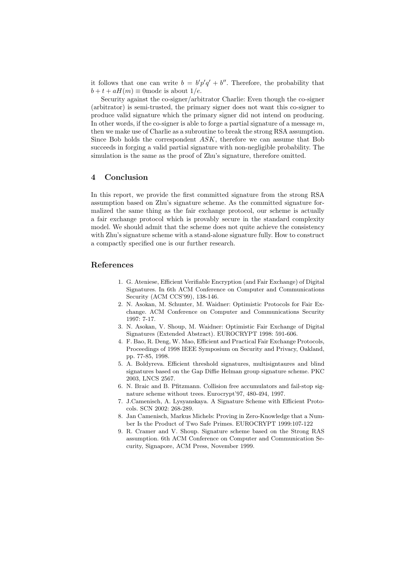it follows that one can write  $b = b'p'q' + b''$ . Therefore, the probability that  $b + t + aH(m) \equiv 0$  mode is about  $1/e$ .

Security against the co-signer/arbitrator Charlie: Even though the co-signer (arbitrator) is semi-trusted, the primary signer does not want this co-signer to produce valid signature which the primary signer did not intend on producing. In other words, if the co-signer is able to forge a partial signature of a message  $m$ , then we make use of Charlie as a subroutine to break the strong RSA assumption. Since Bob holds the correspondent ASK, therefore we can assume that Bob succeeds in forging a valid partial signature with non-negligible probability. The simulation is the same as the proof of Zhu's signature, therefore omitted.

#### 4 Conclusion

In this report, we provide the first committed signature from the strong RSA assumption based on Zhu's signature scheme. As the committed signature formalized the same thing as the fair exchange protocol, our scheme is actually a fair exchange protocol which is provably secure in the standard complexity model. We should admit that the scheme does not quite achieve the consistency with Zhu's signature scheme with a stand-alone signature fully. How to construct a compactly specified one is our further research.

#### References

- 1. G. Ateniese, Efficient Verifiable Encryption (and Fair Exchange) of Digital Signatures. In 6th ACM Conference on Computer and Communications Security (ACM CCS'99), 138-146.
- 2. N. Asokan, M. Schunter, M. Waidner: Optimistic Protocols for Fair Exchange. ACM Conference on Computer and Communications Security 1997: 7-17.
- 3. N. Asokan, V. Shoup, M. Waidner: Optimistic Fair Exchange of Digital Signatures (Extended Abstract). EUROCRYPT 1998: 591-606.
- 4. F. Bao, R. Deng, W. Mao, Efficient and Practical Fair Exchange Protocols, Proceedings of 1998 IEEE Symposium on Security and Privacy, Oakland, pp. 77-85, 1998.
- 5. A. Boldyreva. Efficient threshold signatures, multisigntaures and blind signatures based on the Gap Diffie Helman group signature scheme. PKC 2003, LNCS 2567.
- 6. N. Braic and B. Pfitzmann. Collision free accumulators and fail-stop signature scheme without trees. Eurocrypt'97, 480-494, 1997.
- 7. J.Camenisch, A. Lysyanskaya. A Signature Scheme with Efficient Protocols. SCN 2002: 268-289.
- 8. Jan Camenisch, Markus Michels: Proving in Zero-Knowledge that a Number Is the Product of Two Safe Primes. EUROCRYPT 1999:107-122
- 9. R. Cramer and V. Shoup. Signature scheme based on the Strong RAS assumption. 6th ACM Conference on Computer and Communication Security, Signapore, ACM Press, November 1999.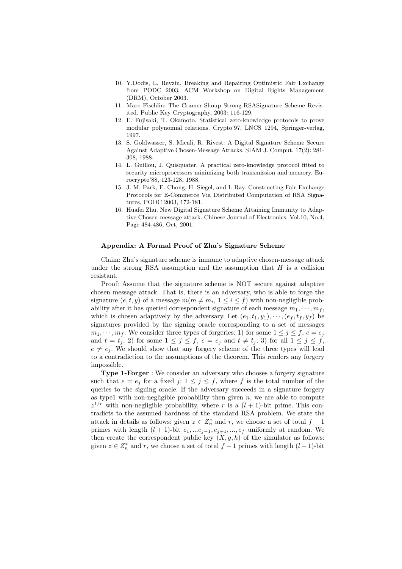- 10. Y.Dodis, L. Reyzin. Breaking and Repairing Optimistic Fair Exchange from PODC 2003, ACM Workshop on Digital Rights Management (DRM), October 2003.
- 11. Marc Fischlin: The Cramer-Shoup Strong-RSASignature Scheme Revisited. Public Key Cryptography, 2003: 116-129.
- 12. E. Fujisaki, T. Okamoto. Statistical zero-knowledge protocols to prove modular polynomial relations. Crypto'97, LNCS 1294, Springer-verlag, 1997.
- 13. S. Goldwasser, S. Micali, R. Rivest: A Digital Signature Scheme Secure Against Adaptive Chosen-Message Attacks. SIAM J. Comput. 17(2): 281- 308, 1988.
- 14. L. Guillou, J. Quisquater. A practical zero-knowledge protocol fitted to security microprocessors minimizing both transmission and memory. Eurocrypto'88, 123-128, 1988.
- 15. J. M. Park, E. Chong, H. Siegel, and I. Ray. Constructing Fair-Exchange Protocols for E-Commerce Via Distributed Computation of RSA Signatures, PODC 2003, 172-181.
- 16. Huafei Zhu. New Digital Signature Scheme Attaining Immunity to Adaptive Chosen-message attack. Chinese Journal of Electronics, Vol.10, No.4, Page 484-486, Oct, 2001.

#### Appendix: A Formal Proof of Zhu's Signature Scheme

Claim: Zhu's signature scheme is immune to adaptive chosen-message attack under the strong RSA assumption and the assumption that  $H$  is a collision resistant.

Proof: Assume that the signature scheme is NOT secure against adaptive chosen message attack. That is, there is an adversary, who is able to forge the signature  $(e, t, y)$  of a message  $m(m \neq m_i, 1 \leq i \leq f)$  with non-negligible probability after it has queried correspondent signature of each message  $m_1, \dots, m_f$ , which is chosen adaptively by the adversary. Let  $(e_1, t_1, y_1), \cdots, (e_f, t_f, y_f)$  be signatures provided by the signing oracle corresponding to a set of messages  $m_1, \dots, m_f$ . We consider three types of forgeries: 1) for some  $1 \leq j \leq f$ ,  $e = e_j$ and  $t = t_j$ ; 2) for some  $1 \leq j \leq f$ ,  $e = e_j$  and  $t \neq t_j$ ; 3) for all  $1 \leq j \leq f$ ,  $e \neq e_j$ . We should show that any forgery scheme of the three types will lead to a contradiction to the assumptions of the theorem. This renders any forgery impossible.

Type 1-Forger : We consider an adversary who chooses a forgery signature such that  $e = e_j$  for a fixed  $j: 1 \leq j \leq f$ , where f is the total number of the queries to the signing oracle. If the adversary succeeds in a signature forgery as type1 with non-negligible probability then given  $n$ , we are able to compute  $z^{1/r}$  with non-negligible probability, where r is a  $(l + 1)$ -bit prime. This contradicts to the assumed hardness of the standard RSA problem. We state the attack in details as follows: given  $z \in Z_n^*$  and r, we choose a set of total  $f - 1$ primes with length  $(l + 1)$ -bit  $e_1, ...e_{j-1}, e_{j+1}, ..., e_f$  uniformly at random. We then create the correspondent public key  $(X, g, h)$  of the simulator as follows: given  $z \in Z_n^*$  and r, we choose a set of total  $f-1$  primes with length  $(l+1)$ -bit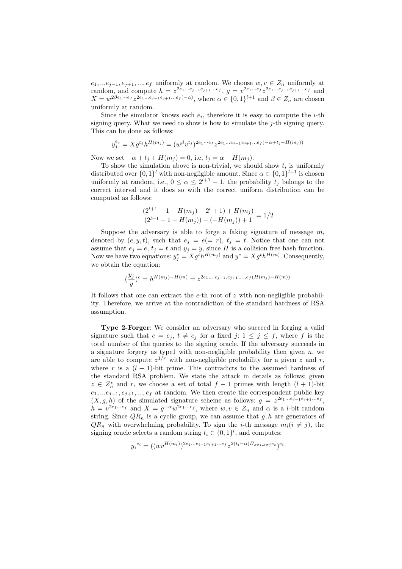$e_1, \ldots e_{j-1}, e_{j+1}, \ldots, e_f$  uniformly at random. We choose  $w, v \in Z_n$  uniformly at random, and compute  $h = z^{2e_1 \dots e_{j-1}e_{j+1} \dots e_f}, g = v^{2e_1 \dots e_f} z^{2e_1 \dots e_{j-1}e_{j+1} \dots e_f}$  and  $X = w^{2\beta e_1 \cdots e_f} z^{2e_1 \cdots e_{j-1}e_{j+1} \cdots e_f(-\alpha)}$ , where  $\alpha \in \{0,1\}^{l+1}$  and  $\beta \in Z_n$  are chosen uniformly at random.

Since the simulator knows each  $e_i$ , therefore it is easy to compute the *i*-th signing query. What we need to show is how to simulate the  $j$ -th signing query. This can be done as follows:

$$
y_j^{e_j} = X g^{t_j} h^{H(m_j)} = (w^{\beta} v^{t_j})^{2e_1 \cdots e_f} z^{2e_1 \cdots e_{j-1} e_{j+1} \cdots e_f (-\alpha + t_j + H(m_j))}
$$

Now we set  $-\alpha + t_j + H(m_j) = 0$ , i.e,  $t_j = \alpha - H(m_j)$ .

To show the simulation above is non-trivial, we should show  $t_i$  is uniformly distributed over  $\{0,1\}^l$  with non-negligible amount. Since  $\alpha \in \{0,1\}^{l+1}$  is chosen uniformly at random, i.e.,  $0 \leq \alpha \leq 2^{l+1} - 1$ , the probability  $t_j$  belongs to the correct interval and it does so with the correct uniform distribution can be computed as follows:

$$
\frac{(2^{l+1}-1-H(m_j)-2^l+1)+H(m_j)}{(2^{l+1}-1-H(m_j)) - (-H(m_j))+1} = 1/2
$$

Suppose the adversary is able to forge a faking signature of message  $m$ , denoted by  $(e, y, t)$ , such that  $e_j = e(= r)$ ,  $t_j = t$ . Notice that one can not assume that  $e_j = e$ ,  $t_j = t$  and  $y_j = y$ , since H is a collision free hash function. Now we have two equations:  $y_j^e = X g^t h^{H(m_j)}$  and  $y^e = X g^t h^{H(m)}$ . Consequently, we obtain the equation:

$$
(\frac{y_j}{y})^e = h^{H(m_j)-H(m)} = z^{2e_1, \dots e_{j-1}, e_{j+1}, \dots, e_f(H(m_j)-H(m))}
$$

It follows that one can extract the  $e$ -th root of z with non-negligible probability. Therefore, we arrive at the contradiction of the standard hardness of RSA assumption.

Type 2-Forger: We consider an adversary who succeed in forging a valid signature such that  $e = e_j, t \neq e_j$  for a fixed j:  $1 \leq j \leq f$ , where f is the total number of the queries to the signing oracle. If the adversary succeeds in a signature forgery as type1 with non-negligible probability then given  $n$ , we are able to compute  $z^{1/r}$  with non-negligible probability for a given z and r, where r is a  $(l + 1)$ -bit prime. This contradicts to the assumed hardness of the standard RSA problem. We state the attack in details as follows: given  $z \in Z_n^*$  and r, we choose a set of total  $f-1$  primes with length  $(l + 1)$ -bit  $e_1, \ldots e_{j-1}, e_{j+1}, \ldots, e_f$  at random. We then create the correspondent public key  $(X, g, h)$  of the simulated signature scheme as follows:  $g = z^{2e_1...e_{j-1}e_{j+1}...e_f}$ ,  $h = v^{2e_1...e_f}$  and  $X = g^{-\alpha}w^{2e_1...e_f}$ , where  $w, v \in Z_n$  and  $\alpha$  is a *l*-bit random string. Since  $QR_n$  is a cyclic group, we can assume that  $g, h$  are generators of  $QR_n$  with overwhelming probability. To sign the *i*-th message  $m_i(i \neq j)$ , the signing oracle selects a random string  $t_i \in \{0,1\}^l$ , and computes:

$$
y_i^{e_i} = ((wv^{H(m_i)})^{2e_1...e_{i-1}e_{i+1}...e_f} z^{2(t_i-\alpha) \prod_{s \neq i, s \neq j} e_s})^{e_i}
$$